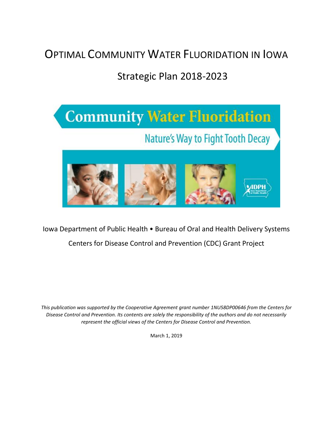# OPTIMAL COMMUNITY WATER FLUORIDATION IN IOWA

# Strategic Plan 2018-2023



## Iowa Department of Public Health • Bureau of Oral and Health Delivery Systems Centers for Disease Control and Prevention (CDC) Grant Project

*This publication was supported by the Cooperative Agreement grant number 1NU58DP00646 from the Centers for Disease Control and Prevention. Its contents are solely the responsibility of the authors and do not necessarily represent the official views of the Centers for Disease Control and Prevention.* 

March 1, 2019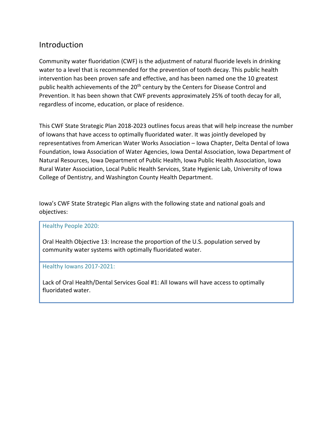## Introduction

Community water fluoridation (CWF) is the adjustment of natural fluoride levels in drinking water to a level that is recommended for the prevention of tooth decay. This public health intervention has been proven safe and effective, and has been named one the 10 greatest public health achievements of the 20<sup>th</sup> century by the Centers for Disease Control and Prevention. It has been shown that CWF prevents approximately 25% of tooth decay for all, regardless of income, education, or place of residence.

This CWF State Strategic Plan 2018-2023 outlines focus areas that will help increase the number of Iowans that have access to optimally fluoridated water. It was jointly developed by representatives from American Water Works Association – Iowa Chapter, Delta Dental of Iowa Foundation, Iowa Association of Water Agencies, Iowa Dental Association, Iowa Department of Natural Resources, Iowa Department of Public Health, Iowa Public Health Association, Iowa Rural Water Association, Local Public Health Services, State Hygienic Lab, University of Iowa College of Dentistry, and Washington County Health Department.

Iowa's CWF State Strategic Plan aligns with the following state and national goals and objectives:

#### Healthy People 2020:

Oral Health Objective 13: Increase the proportion of the U.S. population served by community water systems with optimally fluoridated water.

#### Healthy Iowans 2017-2021:

Lack of Oral Health/Dental Services Goal #1: All Iowans will have access to optimally fluoridated water.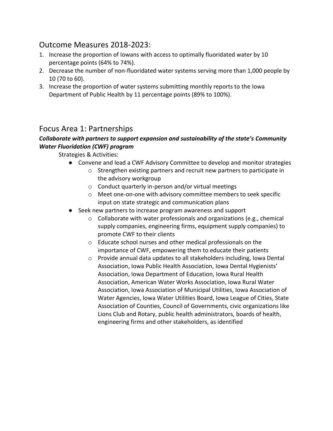## Outcome Measures 2018-2023:

- 1. Increase the proportion of Iowans with access to optimally fluoridated water by 10 percentage points (64% to 74%).
- 2. Decrease the number of non-fluoridated water systems serving more than 1,000 people by 10 (70 to 60).
- 3. Increase the proportion of water systems submitting monthly reports to the Iowa Department of Public Health by 11 percentage points (89% to 100%).

### Focus Area 1: Partnerships

#### *Collaborate with partners to support expansion and sustainability of the state's Community Water Fluoridation (CWF) program*

Strategies & Activities:

- Convene and lead a CWF Advisory Committee to develop and monitor strategies
	- o Strengthen existing partners and recruit new partners to participate in the advisory workgroup
	- o Conduct quarterly in-person and/or virtual meetings
	- o Meet one-on-one with advisory committee members to seek specific input on state strategic and communication plans
- Seek new partners to increase program awareness and support
	- o Collaborate with water professionals and organizations (e.g., chemical supply companies, engineering firms, equipment supply companies) to promote CWF to their clients
	- o Educate school nurses and other medical professionals on the importance of CWF, empowering them to educate their patients
	- o Provide annual data updates to all stakeholders including, Iowa Dental Association, Iowa Public Health Association, Iowa Dental Hygienists' Association, Iowa Department of Education, Iowa Rural Health Association, American Water Works Association, Iowa Rural Water Association, Iowa Association of Municipal Utilities, Iowa Association of Water Agencies, Iowa Water Utilities Board, Iowa League of Cities, State Association of Counties, Council of Governments, civic organizations like Lions Club and Rotary, public health administrators, boards of health, engineering firms and other stakeholders, as identified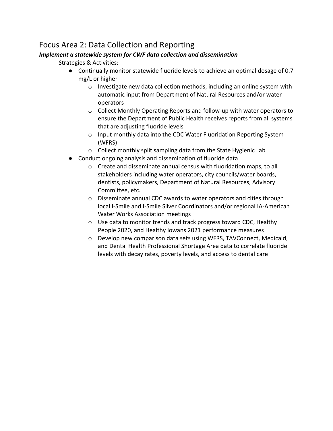## Focus Area 2: Data Collection and Reporting

#### *Implement a statewide system for CWF data collection and dissemination*

Strategies & Activities:

- Continually monitor statewide fluoride levels to achieve an optimal dosage of 0.7 mg/L or higher
	- o Investigate new data collection methods, including an online system with automatic input from Department of Natural Resources and/or water operators
	- o Collect Monthly Operating Reports and follow-up with water operators to ensure the Department of Public Health receives reports from all systems that are adjusting fluoride levels
	- o Input monthly data into the CDC Water Fluoridation Reporting System (WFRS)
	- o Collect monthly split sampling data from the State Hygienic Lab
- Conduct ongoing analysis and dissemination of fluoride data
	- o Create and disseminate annual census with fluoridation maps, to all stakeholders including water operators, city councils/water boards, dentists, policymakers, Department of Natural Resources, Advisory Committee, etc.
	- o Disseminate annual CDC awards to water operators and cities through local I-Smile and I-Smile Silver Coordinators and/or regional IA-American Water Works Association meetings
	- o Use data to monitor trends and track progress toward CDC, Healthy People 2020, and Healthy Iowans 2021 performance measures
	- o Develop new comparison data sets using WFRS, TAVConnect, Medicaid, and Dental Health Professional Shortage Area data to correlate fluoride levels with decay rates, poverty levels, and access to dental care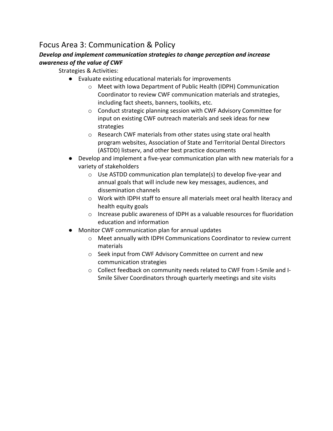## Focus Area 3: Communication & Policy

#### *Develop and implement communication strategies to change perception and increase awareness of the value of CWF*

- Strategies & Activities:
	- Evaluate existing educational materials for improvements
		- o Meet with Iowa Department of Public Health (IDPH) Communication Coordinator to review CWF communication materials and strategies, including fact sheets, banners, toolkits, etc.
		- o Conduct strategic planning session with CWF Advisory Committee for input on existing CWF outreach materials and seek ideas for new strategies
		- o Research CWF materials from other states using state oral health program websites, Association of State and Territorial Dental Directors (ASTDD) listserv, and other best practice documents
	- Develop and implement a five-year communication plan with new materials for a variety of stakeholders
		- o Use ASTDD communication plan template(s) to develop five-year and annual goals that will include new key messages, audiences, and dissemination channels
		- o Work with IDPH staff to ensure all materials meet oral health literacy and health equity goals
		- o Increase public awareness of IDPH as a valuable resources for fluoridation education and information
	- Monitor CWF communication plan for annual updates
		- o Meet annually with IDPH Communications Coordinator to review current materials
		- o Seek input from CWF Advisory Committee on current and new communication strategies
		- o Collect feedback on community needs related to CWF from I-Smile and I-Smile Silver Coordinators through quarterly meetings and site visits